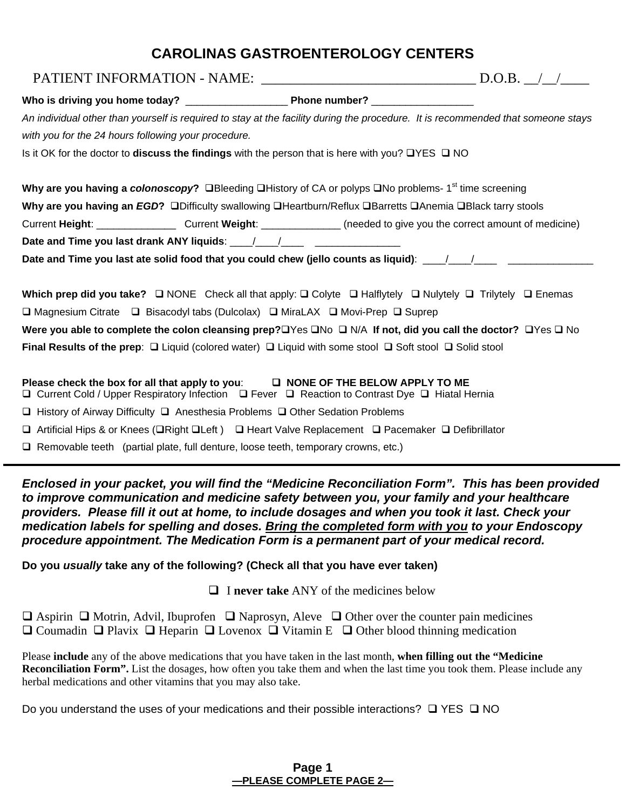# **CAROLINAS GASTROENTEROLOGY CENTERS**

| PATIENT INFORMATION - NAME: $\frac{1}{2}$ D.O.B. $\frac{1}{2}$                                                                                                                     |  |
|------------------------------------------------------------------------------------------------------------------------------------------------------------------------------------|--|
|                                                                                                                                                                                    |  |
| An individual other than yourself is required to stay at the facility during the procedure. It is recommended that someone stays                                                   |  |
| with you for the 24 hours following your procedure.                                                                                                                                |  |
| Is it OK for the doctor to <b>discuss the findings</b> with the person that is here with you? $\Box$ YES $\Box$ NO                                                                 |  |
| Why are you having a colonoscopy? □Bleeding □History of CA or polyps □No problems-1 <sup>st</sup> time screening                                                                   |  |
| Why are you having an EGD? □Difficulty swallowing □Heartburn/Reflux □Barretts □Anemia □Black tarry stools                                                                          |  |
| Current Height: ____________________Current Weight: _______________(needed to give you the correct amount of medicine)                                                             |  |
|                                                                                                                                                                                    |  |
| Date and Time you last ate solid food that you could chew (jello counts as liquid): ___/___/__________________                                                                     |  |
| Which prep did you take? $\Box$ NONE Check all that apply: $\Box$ Colyte $\Box$ Halflytely $\Box$ Nulytely $\Box$ Trilytely $\Box$ Enemas                                          |  |
| □ Magnesium Citrate □ Bisacodyl tabs (Dulcolax) □ MiraLAX □ Movi-Prep □ Suprep                                                                                                     |  |
| Were you able to complete the colon cleansing prep? $\square Y$ es $\square N \circ \square N/A$ If not, did you call the doctor? $\square Y$ es $\square N \circ \square$         |  |
| Final Results of the prep: $\Box$ Liquid (colored water) $\Box$ Liquid with some stool $\Box$ Soft stool $\Box$ Solid stool                                                        |  |
| Please check the box for all that apply to you: □ NONE OF THE BELOW APPLY TO ME<br>□ Current Cold / Upper Respiratory Infection □ Fever □ Reaction to Contrast Dye □ Hiatal Hernia |  |
| $\Box$ History of Airway Difficulty $\Box$ Anesthesia Problems $\Box$ Other Sedation Problems                                                                                      |  |
| $\Box$ Artificial Hips & or Knees ( $\Box$ Right $\Box$ Left) $\Box$ Heart Valve Replacement $\Box$ Pacemaker $\Box$ Defibrillator                                                 |  |
| $\Box$ Removable teeth (partial plate, full denture, loose teeth, temporary crowns, etc.)                                                                                          |  |

*Enclosed in your packet, you will find the "Medicine Reconciliation Form". This has been provided to improve communication and medicine safety between you, your family and your healthcare providers. Please fill it out at home, to include dosages and when you took it last. Check your medication labels for spelling and doses. Bring the completed form with you to your Endoscopy procedure appointment. The Medication Form is a permanent part of your medical record.*

**Do you** *usually* **take any of the following? (Check all that you have ever taken)** 

I **never take** ANY of the medicines below

 $\Box$  Aspirin  $\Box$  Motrin, Advil, Ibuprofen  $\Box$  Naprosyn, Aleve  $\Box$  Other over the counter pain medicines  $\Box$  Coumadin  $\Box$  Plavix  $\Box$  Heparin  $\Box$  Lovenox  $\Box$  Vitamin E  $\Box$  Other blood thinning medication

Please **include** any of the above medications that you have taken in the last month, **when filling out the "Medicine Reconciliation Form".** List the dosages, how often you take them and when the last time you took them. Please include any herbal medications and other vitamins that you may also take.

Do you understand the uses of your medications and their possible interactions?  $\Box$  YES  $\Box$  NO

#### **Page 1 —PLEASE COMPLETE PAGE 2—**